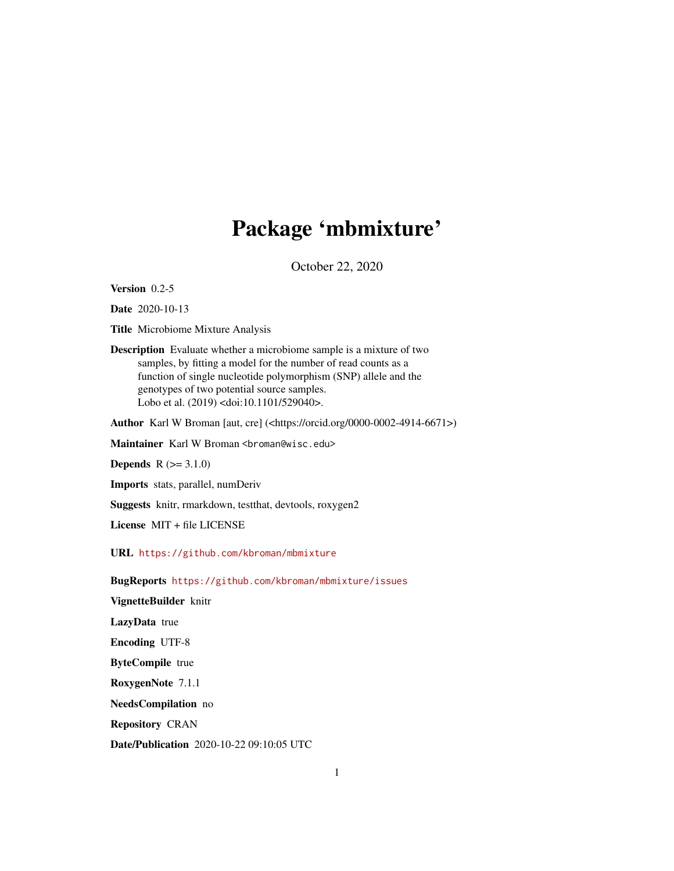# Package 'mbmixture'

October 22, 2020

<span id="page-0-0"></span>Version 0.2-5

Date 2020-10-13

Title Microbiome Mixture Analysis

Description Evaluate whether a microbiome sample is a mixture of two samples, by fitting a model for the number of read counts as a function of single nucleotide polymorphism (SNP) allele and the genotypes of two potential source samples. Lobo et al. (2019) <doi:10.1101/529040>.

Author Karl W Broman [aut, cre] (<https://orcid.org/0000-0002-4914-6671>)

Maintainer Karl W Broman <br />
coman@wisc.edu>

**Depends**  $R (= 3.1.0)$ 

Imports stats, parallel, numDeriv

Suggests knitr, rmarkdown, testthat, devtools, roxygen2

License MIT + file LICENSE

URL <https://github.com/kbroman/mbmixture>

BugReports <https://github.com/kbroman/mbmixture/issues>

VignetteBuilder knitr LazyData true Encoding UTF-8 ByteCompile true RoxygenNote 7.1.1 NeedsCompilation no Repository CRAN Date/Publication 2020-10-22 09:10:05 UTC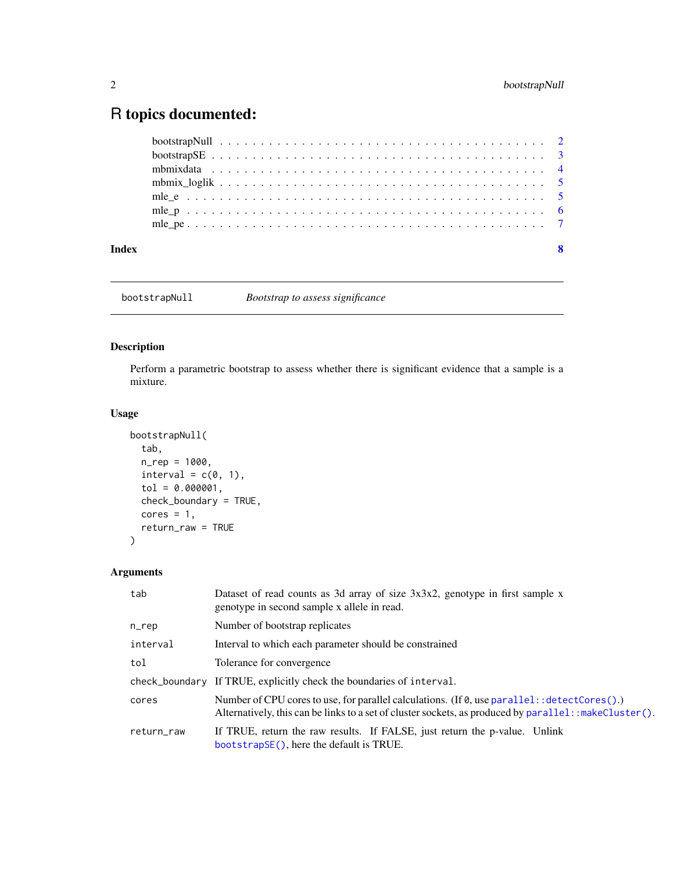## <span id="page-1-0"></span>R topics documented:

| Index | - 8 |
|-------|-----|
|       |     |
|       |     |
|       |     |
|       |     |
|       |     |
|       |     |
|       |     |

<span id="page-1-1"></span>bootstrapNull *Bootstrap to assess significance*

#### Description

Perform a parametric bootstrap to assess whether there is significant evidence that a sample is a mixture.

#### Usage

```
bootstrapNull(
  tab,
 n_{rep} = 1000,interval = c(0, 1),tol = 0.000001,check_boundary = TRUE,
 cores = 1,
  return_raw = TRUE
)
```
#### Arguments

| tab        | Dataset of read counts as 3d array of size $3x3x2$ , genotype in first sample x<br>genotype in second sample x allele in read.                                                                                     |
|------------|--------------------------------------------------------------------------------------------------------------------------------------------------------------------------------------------------------------------|
| n_rep      | Number of bootstrap replicates                                                                                                                                                                                     |
| interval   | Interval to which each parameter should be constrained                                                                                                                                                             |
| tol        | Tolerance for convergence                                                                                                                                                                                          |
|            | check_boundary If TRUE, explicitly check the boundaries of interval.                                                                                                                                               |
| cores      | Number of CPU cores to use, for parallel calculations. (If $\theta$ , use parallel: : detectCores().)<br>Alternatively, this can be links to a set of cluster sockets, as produced by $parallel:$ : makeCluster(). |
| return_raw | If TRUE, return the raw results. If FALSE, just return the p-value. Unlink<br>bootstrapSE(), here the default is TRUE.                                                                                             |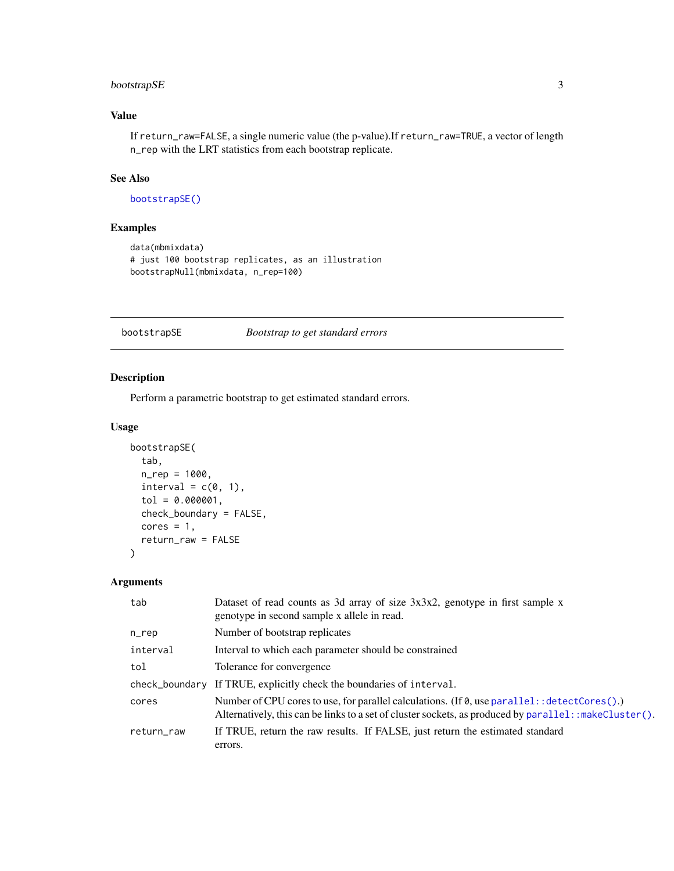#### <span id="page-2-0"></span>bootstrapSE 3

#### Value

If return\_raw=FALSE, a single numeric value (the p-value).If return\_raw=TRUE, a vector of length n\_rep with the LRT statistics from each bootstrap replicate.

#### See Also

[bootstrapSE\(\)](#page-2-1)

#### Examples

```
data(mbmixdata)
# just 100 bootstrap replicates, as an illustration
bootstrapNull(mbmixdata, n_rep=100)
```
<span id="page-2-1"></span>bootstrapSE *Bootstrap to get standard errors*

#### Description

Perform a parametric bootstrap to get estimated standard errors.

### Usage

```
bootstrapSE(
  tab,
  n_{rep} = 1000,interval = c(0, 1),tol = 0.000001,check_boundary = FALSE,
  cores = 1,
  return_raw = FALSE
)
```
#### Arguments

| tab        | Dataset of read counts as 3d array of size $3x3x2$ , genotype in first sample x<br>genotype in second sample x allele in read.                                                                              |
|------------|-------------------------------------------------------------------------------------------------------------------------------------------------------------------------------------------------------------|
| n_rep      | Number of bootstrap replicates                                                                                                                                                                              |
| interval   | Interval to which each parameter should be constrained                                                                                                                                                      |
| tol        | Tolerance for convergence                                                                                                                                                                                   |
|            | check_boundary If TRUE, explicitly check the boundaries of interval.                                                                                                                                        |
| cores      | Number of CPU cores to use, for parallel calculations. (If 0, use parallel: : detectCores ().)<br>Alternatively, this can be links to a set of cluster sockets, as produced by $parallel:$ : makeCluster(). |
| return_raw | If TRUE, return the raw results. If FALSE, just return the estimated standard                                                                                                                               |
|            | errors.                                                                                                                                                                                                     |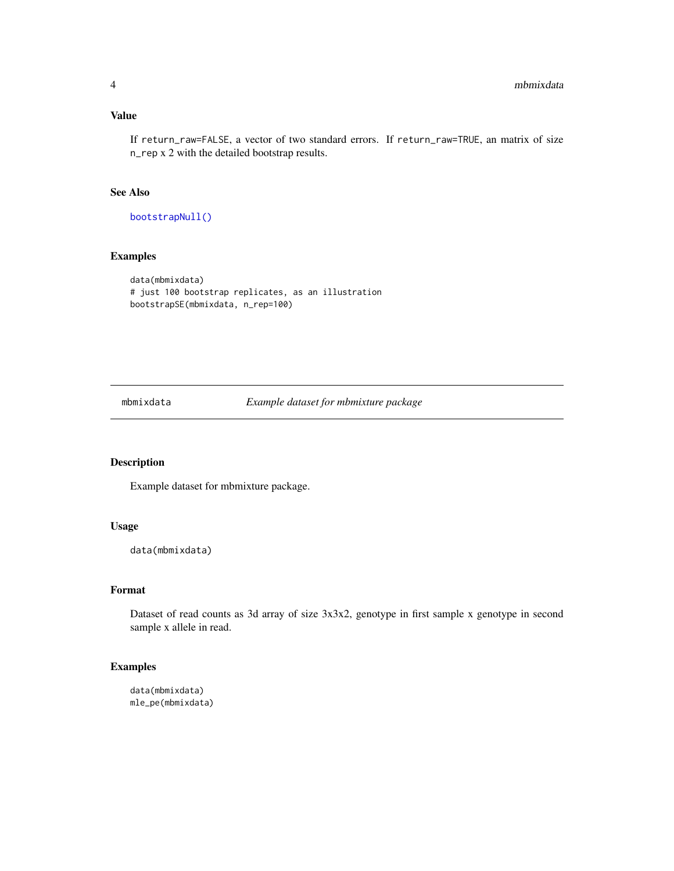#### <span id="page-3-0"></span>Value

If return\_raw=FALSE, a vector of two standard errors. If return\_raw=TRUE, an matrix of size n\_rep x 2 with the detailed bootstrap results.

#### See Also

[bootstrapNull\(\)](#page-1-1)

#### Examples

```
data(mbmixdata)
# just 100 bootstrap replicates, as an illustration
bootstrapSE(mbmixdata, n_rep=100)
```
mbmixdata *Example dataset for mbmixture package*

#### Description

Example dataset for mbmixture package.

#### Usage

```
data(mbmixdata)
```
#### Format

Dataset of read counts as 3d array of size 3x3x2, genotype in first sample x genotype in second sample x allele in read.

#### Examples

```
data(mbmixdata)
mle_pe(mbmixdata)
```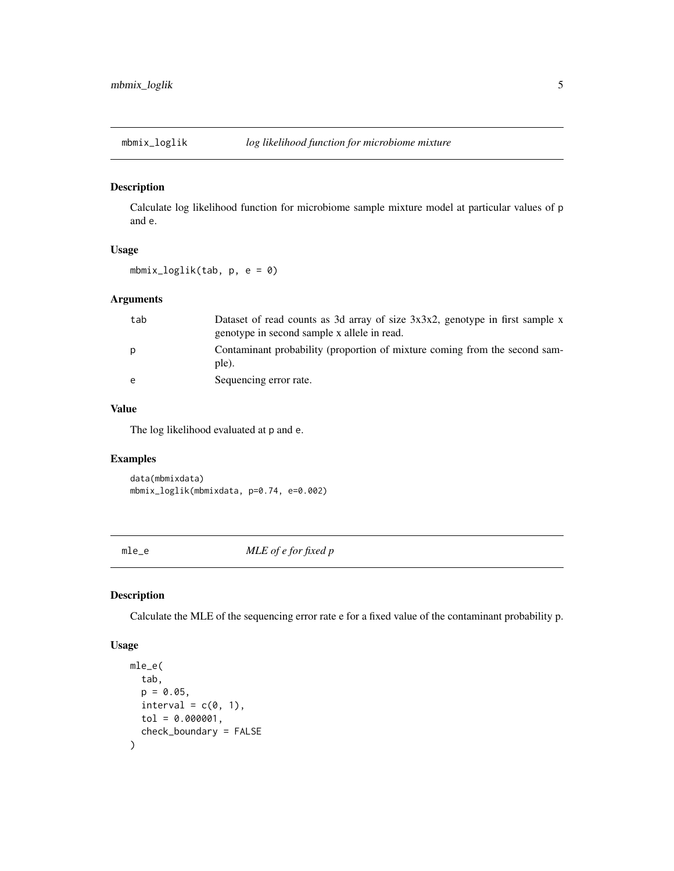<span id="page-4-0"></span>

#### Description

Calculate log likelihood function for microbiome sample mixture model at particular values of p and e.

#### Usage

mbmix\_loglik(tab, p, e = 0)

#### Arguments

| tab | Dataset of read counts as 3d array of size $3x3x2$ , genotype in first sample x<br>genotype in second sample x allele in read. |
|-----|--------------------------------------------------------------------------------------------------------------------------------|
| p   | Contaminant probability (proportion of mixture coming from the second sam-<br>ple).                                            |
| e   | Sequencing error rate.                                                                                                         |

#### Value

The log likelihood evaluated at p and e.

#### Examples

data(mbmixdata) mbmix\_loglik(mbmixdata, p=0.74, e=0.002)

mle\_e *MLE of e for fixed p*

#### Description

Calculate the MLE of the sequencing error rate e for a fixed value of the contaminant probability p.

#### Usage

```
mle_e(
  tab,
 p = 0.05,
  interval = c(0, 1),tol = 0.000001,
  check_boundary = FALSE
)
```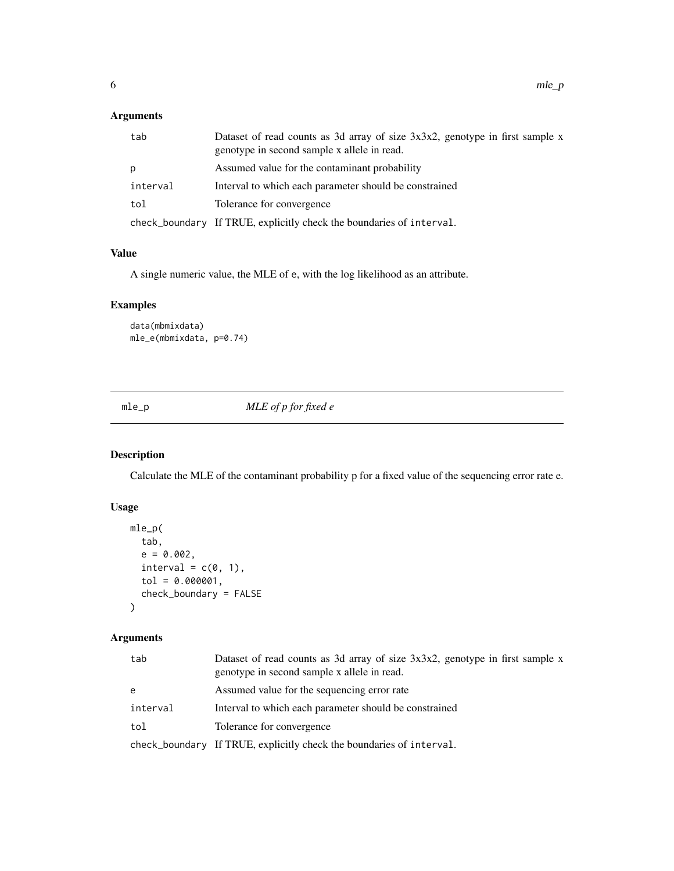### <span id="page-5-0"></span>Arguments

| tab      | Dataset of read counts as 3d array of size $3x3x2$ , genotype in first sample x<br>genotype in second sample x allele in read. |
|----------|--------------------------------------------------------------------------------------------------------------------------------|
| p        | Assumed value for the contaminant probability                                                                                  |
| interval | Interval to which each parameter should be constrained                                                                         |
| tol      | Tolerance for convergence                                                                                                      |
|          | check_boundary If TRUE, explicitly check the boundaries of interval.                                                           |

#### Value

A single numeric value, the MLE of e, with the log likelihood as an attribute.

#### Examples

```
data(mbmixdata)
mle_e(mbmixdata, p=0.74)
```
mle\_p *MLE of p for fixed e*

### Description

Calculate the MLE of the contaminant probability p for a fixed value of the sequencing error rate e.

#### Usage

```
mle_p(
  tab,
  e = 0.002,
  interval = c(0, 1),tol = 0.000001,
  check_boundary = FALSE
)
```
#### Arguments

| tab      | Dataset of read counts as 3d array of size 3x3x2, genotype in first sample x<br>genotype in second sample x allele in read. |
|----------|-----------------------------------------------------------------------------------------------------------------------------|
| e        | Assumed value for the sequencing error rate                                                                                 |
| interval | Interval to which each parameter should be constrained                                                                      |
| tol      | Tolerance for convergence                                                                                                   |
|          | check_boundary If TRUE, explicitly check the boundaries of interval.                                                        |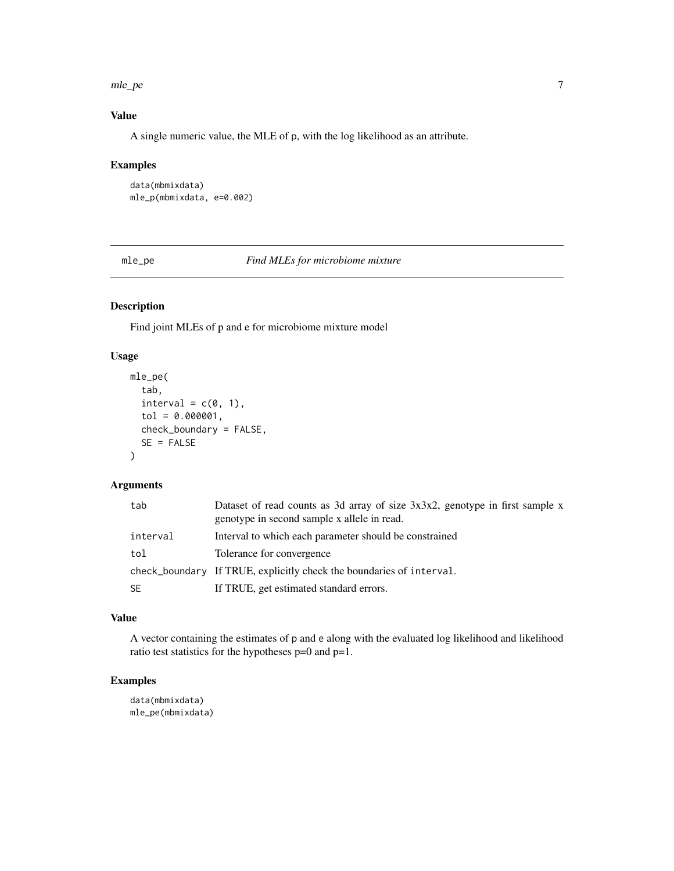<span id="page-6-0"></span>mle\_pe 7

### Value

A single numeric value, the MLE of p, with the log likelihood as an attribute.

#### Examples

```
data(mbmixdata)
mle_p(mbmixdata, e=0.002)
```
mle\_pe *Find MLEs for microbiome mixture*

#### Description

Find joint MLEs of p and e for microbiome mixture model

#### Usage

```
mle_pe(
  tab,
  interval = c(0, 1),tol = 0.000001,check_boundary = FALSE,
  SE = FALSE)
```
#### Arguments

| tab      | Dataset of read counts as 3d array of size $3x3x2$ , genotype in first sample x<br>genotype in second sample x allele in read. |
|----------|--------------------------------------------------------------------------------------------------------------------------------|
| interval | Interval to which each parameter should be constrained                                                                         |
| tol      | Tolerance for convergence                                                                                                      |
|          | check_boundary If TRUE, explicitly check the boundaries of interval.                                                           |
| -SE      | If TRUE, get estimated standard errors.                                                                                        |

#### Value

A vector containing the estimates of p and e along with the evaluated log likelihood and likelihood ratio test statistics for the hypotheses p=0 and p=1.

#### Examples

data(mbmixdata) mle\_pe(mbmixdata)